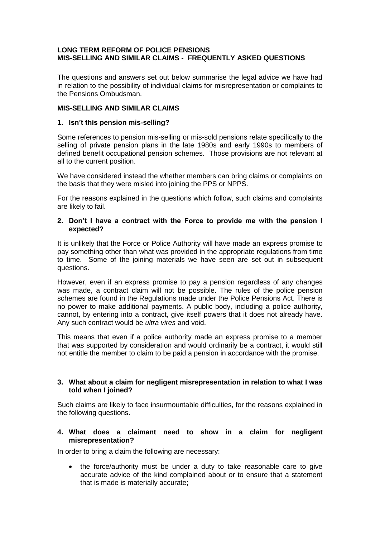## **LONG TERM REFORM OF POLICE PENSIONS MIS-SELLING AND SIMILAR CLAIMS - FREQUENTLY ASKED QUESTIONS**

The questions and answers set out below summarise the legal advice we have had in relation to the possibility of individual claims for misrepresentation or complaints to the Pensions Ombudsman.

# **MIS-SELLING AND SIMILAR CLAIMS**

# **1. Isn't this pension mis-selling?**

Some references to pension mis-selling or mis-sold pensions relate specifically to the selling of private pension plans in the late 1980s and early 1990s to members of defined benefit occupational pension schemes. Those provisions are not relevant at all to the current position.

We have considered instead the whether members can bring claims or complaints on the basis that they were misled into joining the PPS or NPPS.

For the reasons explained in the questions which follow, such claims and complaints are likely to fail.

## **2. Don't I have a contract with the Force to provide me with the pension I expected?**

It is unlikely that the Force or Police Authority will have made an express promise to pay something other than what was provided in the appropriate regulations from time to time. Some of the joining materials we have seen are set out in subsequent questions.

However, even if an express promise to pay a pension regardless of any changes was made, a contract claim will not be possible. The rules of the police pension schemes are found in the Regulations made under the Police Pensions Act. There is no power to make additional payments. A public body, including a police authority, cannot, by entering into a contract, give itself powers that it does not already have. Any such contract would be *ultra vires* and void.

This means that even if a police authority made an express promise to a member that was supported by consideration and would ordinarily be a contract, it would still not entitle the member to claim to be paid a pension in accordance with the promise.

## **3. What about a claim for negligent misrepresentation in relation to what I was told when I joined?**

Such claims are likely to face insurmountable difficulties, for the reasons explained in the following questions.

# **4. What does a claimant need to show in a claim for negligent misrepresentation?**

In order to bring a claim the following are necessary:

 the force/authority must be under a duty to take reasonable care to give accurate advice of the kind complained about or to ensure that a statement that is made is materially accurate;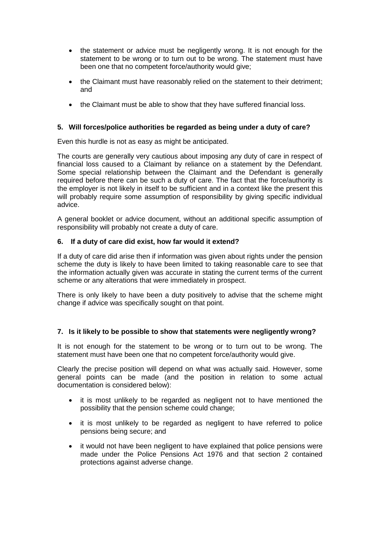- the statement or advice must be negligently wrong. It is not enough for the statement to be wrong or to turn out to be wrong. The statement must have been one that no competent force/authority would give;
- the Claimant must have reasonably relied on the statement to their detriment; and
- the Claimant must be able to show that they have suffered financial loss.

# **5. Will forces/police authorities be regarded as being under a duty of care?**

Even this hurdle is not as easy as might be anticipated.

The courts are generally very cautious about imposing any duty of care in respect of financial loss caused to a Claimant by reliance on a statement by the Defendant. Some special relationship between the Claimant and the Defendant is generally required before there can be such a duty of care. The fact that the force/authority is the employer is not likely in itself to be sufficient and in a context like the present this will probably require some assumption of responsibility by giving specific individual advice.

A general booklet or advice document, without an additional specific assumption of responsibility will probably not create a duty of care.

## **6. If a duty of care did exist, how far would it extend?**

If a duty of care did arise then if information was given about rights under the pension scheme the duty is likely to have been limited to taking reasonable care to see that the information actually given was accurate in stating the current terms of the current scheme or any alterations that were immediately in prospect.

There is only likely to have been a duty positively to advise that the scheme might change if advice was specifically sought on that point.

# **7. Is it likely to be possible to show that statements were negligently wrong?**

It is not enough for the statement to be wrong or to turn out to be wrong. The statement must have been one that no competent force/authority would give.

Clearly the precise position will depend on what was actually said. However, some general points can be made (and the position in relation to some actual documentation is considered below):

- it is most unlikely to be regarded as negligent not to have mentioned the possibility that the pension scheme could change;
- it is most unlikely to be regarded as negligent to have referred to police pensions being secure; and
- it would not have been negligent to have explained that police pensions were made under the Police Pensions Act 1976 and that section 2 contained protections against adverse change.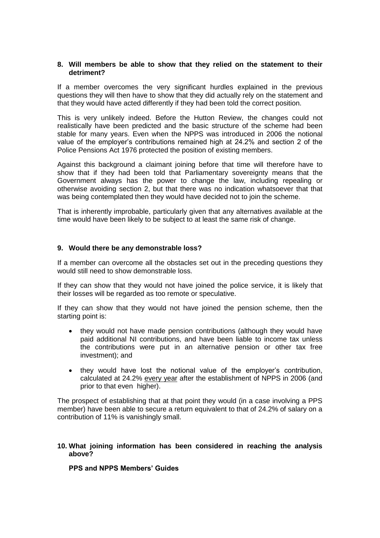### **8. Will members be able to show that they relied on the statement to their detriment?**

If a member overcomes the very significant hurdles explained in the previous questions they will then have to show that they did actually rely on the statement and that they would have acted differently if they had been told the correct position.

This is very unlikely indeed. Before the Hutton Review, the changes could not realistically have been predicted and the basic structure of the scheme had been stable for many years. Even when the NPPS was introduced in 2006 the notional value of the employer's contributions remained high at 24.2% and section 2 of the Police Pensions Act 1976 protected the position of existing members.

Against this background a claimant joining before that time will therefore have to show that if they had been told that Parliamentary sovereignty means that the Government always has the power to change the law, including repealing or otherwise avoiding section 2, but that there was no indication whatsoever that that was being contemplated then they would have decided not to join the scheme.

That is inherently improbable, particularly given that any alternatives available at the time would have been likely to be subject to at least the same risk of change.

## **9. Would there be any demonstrable loss?**

If a member can overcome all the obstacles set out in the preceding questions they would still need to show demonstrable loss.

If they can show that they would not have joined the police service, it is likely that their losses will be regarded as too remote or speculative.

If they can show that they would not have joined the pension scheme, then the starting point is:

- they would not have made pension contributions (although they would have paid additional NI contributions, and have been liable to income tax unless the contributions were put in an alternative pension or other tax free investment); and
- they would have lost the notional value of the employer's contribution, calculated at 24.2% every year after the establishment of NPPS in 2006 (and prior to that even higher).

The prospect of establishing that at that point they would (in a case involving a PPS member) have been able to secure a return equivalent to that of 24.2% of salary on a contribution of 11% is vanishingly small.

#### **10. What joining information has been considered in reaching the analysis above?**

#### **PPS and NPPS Members' Guides**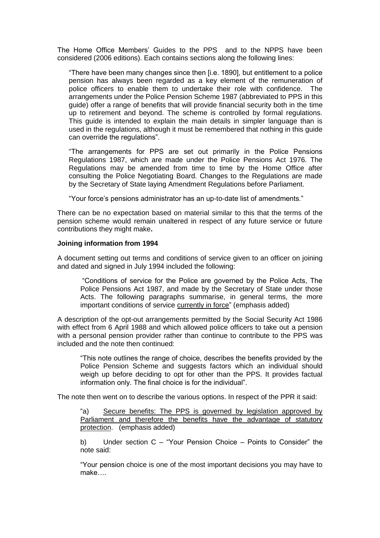The Home Office Members' Guides to the PPS and to the NPPS have been considered (2006 editions). Each contains sections along the following lines:

"There have been many changes since then [i.e. 1890], but entitlement to a police pension has always been regarded as a key element of the remuneration of police officers to enable them to undertake their role with confidence. The arrangements under the Police Pension Scheme 1987 (abbreviated to PPS in this guide) offer a range of benefits that will provide financial security both in the time up to retirement and beyond. The scheme is controlled by formal regulations. This guide is intended to explain the main details in simpler language than is used in the regulations, although it must be remembered that nothing in this guide can override the regulations".

"The arrangements for PPS are set out primarily in the Police Pensions Regulations 1987, which are made under the Police Pensions Act 1976. The Regulations may be amended from time to time by the Home Office after consulting the Police Negotiating Board. Changes to the Regulations are made by the Secretary of State laying Amendment Regulations before Parliament.

"Your force's pensions administrator has an up-to-date list of amendments."

There can be no expectation based on material similar to this that the terms of the pension scheme would remain unaltered in respect of any future service or future contributions they might make**.**

#### **Joining information from 1994**

A document setting out terms and conditions of service given to an officer on joining and dated and signed in July 1994 included the following:

"Conditions of service for the Police are governed by the Police Acts, The Police Pensions Act 1987, and made by the Secretary of State under those Acts. The following paragraphs summarise, in general terms, the more important conditions of service currently in force" (emphasis added)

A description of the opt-out arrangements permitted by the Social Security Act 1986 with effect from 6 April 1988 and which allowed police officers to take out a pension with a personal pension provider rather than continue to contribute to the PPS was included and the note then continued:

"This note outlines the range of choice, describes the benefits provided by the Police Pension Scheme and suggests factors which an individual should weigh up before deciding to opt for other than the PPS. It provides factual information only. The final choice is for the individual".

The note then went on to describe the various options. In respect of the PPR it said:

"a) Secure benefits: The PPS is governed by legislation approved by Parliament and therefore the benefits have the advantage of statutory protection. (emphasis added)

b) Under section C – "Your Pension Choice – Points to Consider" the note said:

"Your pension choice is one of the most important decisions you may have to make….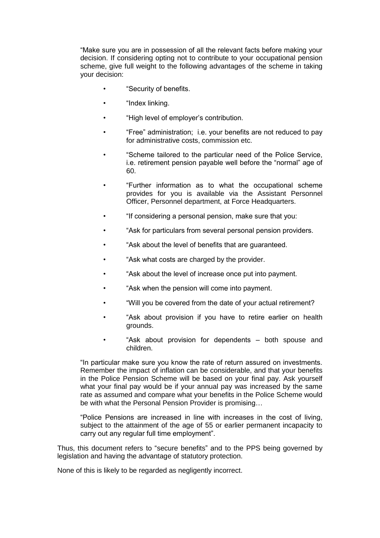"Make sure you are in possession of all the relevant facts before making your decision. If considering opting not to contribute to your occupational pension scheme, give full weight to the following advantages of the scheme in taking your decision:

- "Security of benefits.
- "Index linking.
- "High level of employer's contribution.
- "Free" administration; i.e. your benefits are not reduced to pay for administrative costs, commission etc.
- "Scheme tailored to the particular need of the Police Service, i.e. retirement pension payable well before the "normal" age of 60.
- "Further information as to what the occupational scheme provides for you is available via the Assistant Personnel Officer, Personnel department, at Force Headquarters.
- "If considering a personal pension, make sure that you:
- "Ask for particulars from several personal pension providers.
- "Ask about the level of benefits that are guaranteed.
- "Ask what costs are charged by the provider.
- "Ask about the level of increase once put into payment.
- "Ask when the pension will come into payment.
- "Will you be covered from the date of your actual retirement?
- "Ask about provision if you have to retire earlier on health grounds.
- "Ask about provision for dependents both spouse and children.

"In particular make sure you know the rate of return assured on investments. Remember the impact of inflation can be considerable, and that your benefits in the Police Pension Scheme will be based on your final pay. Ask yourself what your final pay would be if your annual pay was increased by the same rate as assumed and compare what your benefits in the Police Scheme would be with what the Personal Pension Provider is promising…

"Police Pensions are increased in line with increases in the cost of living, subject to the attainment of the age of 55 or earlier permanent incapacity to carry out any regular full time employment".

Thus, this document refers to "secure benefits" and to the PPS being governed by legislation and having the advantage of statutory protection.

None of this is likely to be regarded as negligently incorrect.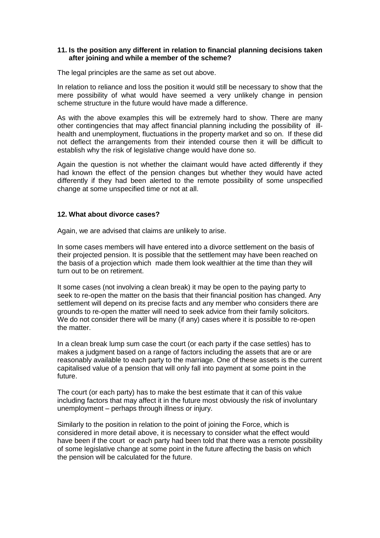## **11. Is the position any different in relation to financial planning decisions taken after joining and while a member of the scheme?**

The legal principles are the same as set out above.

In relation to reliance and loss the position it would still be necessary to show that the mere possibility of what would have seemed a very unlikely change in pension scheme structure in the future would have made a difference.

As with the above examples this will be extremely hard to show. There are many other contingencies that may affect financial planning including the possibility of illhealth and unemployment, fluctuations in the property market and so on. If these did not deflect the arrangements from their intended course then it will be difficult to establish why the risk of legislative change would have done so.

Again the question is not whether the claimant would have acted differently if they had known the effect of the pension changes but whether they would have acted differently if they had been alerted to the remote possibility of some unspecified change at some unspecified time or not at all.

## **12. What about divorce cases?**

Again, we are advised that claims are unlikely to arise.

In some cases members will have entered into a divorce settlement on the basis of their projected pension. It is possible that the settlement may have been reached on the basis of a projection which made them look wealthier at the time than they will turn out to be on retirement.

It some cases (not involving a clean break) it may be open to the paying party to seek to re-open the matter on the basis that their financial position has changed. Any settlement will depend on its precise facts and any member who considers there are grounds to re-open the matter will need to seek advice from their family solicitors. We do not consider there will be many (if any) cases where it is possible to re-open the matter.

In a clean break lump sum case the court (or each party if the case settles) has to makes a judgment based on a range of factors including the assets that are or are reasonably available to each party to the marriage. One of these assets is the current capitalised value of a pension that will only fall into payment at some point in the future.

The court (or each party) has to make the best estimate that it can of this value including factors that may affect it in the future most obviously the risk of involuntary unemployment – perhaps through illness or injury.

Similarly to the position in relation to the point of joining the Force, which is considered in more detail above, it is necessary to consider what the effect would have been if the court or each party had been told that there was a remote possibility of some legislative change at some point in the future affecting the basis on which the pension will be calculated for the future.